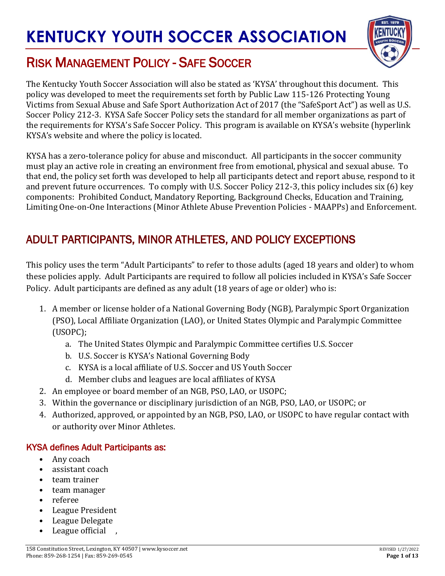

## RISK MANAGEMENT POLICY - SAFE SOCCER

The Kentucky Youth Soccer Association will also be stated as 'KYSA' throughout this document. This policy was developed to meet the requirements set forth by Public Law 115-126 Protecting Young Victims from Sexual Abuse and Safe Sport Authorization Act of 2017 (the "SafeSport Act") as well as U.S. Soccer Policy 212-3. KYSA Safe Soccer Policy sets the standard for all member organizations as part of the requirements for KYSA's Safe Soccer Policy. This program is available on KYSA's website (hyperlink KYSA's website and where the policy is located.

KYSA has a zero-tolerance policy for abuse and misconduct. All participants in the soccer community must play an active role in creating an environment free from emotional, physical and sexual abuse. To that end, the policy set forth was developed to help all participants detect and report abuse, respond to it and prevent future occurrences. To comply with U.S. Soccer Policy 212-3, this policy includes six (6) key components: Prohibited Conduct, Mandatory Reporting, Background Checks, Education and Training, Limiting One-on-One Interactions (Minor Athlete Abuse Prevention Policies - MAAPPs) and Enforcement.

## ADULT PARTICIPANTS, MINOR ATHLETES, AND POLICY EXCEPTIONS

This policy uses the term "Adult Participants" to refer to those adults (aged 18 years and older) to whom these policies apply. Adult Participants are required to follow all policies included in KYSA's Safe Soccer Policy. Adult participants are defined as any adult (18 years of age or older) who is:

- 1. A member or license holder of a National Governing Body (NGB), Paralympic Sport Organization (PSO), Local Affiliate Organization (LAO), or United States Olympic and Paralympic Committee (USOPC);
	- a. The United States Olympic and Paralympic Committee certifies U.S. Soccer
	- b. U.S. Soccer is KYSA's National Governing Body
	- c. KYSA is a local affiliate of U.S. Soccer and US Youth Soccer
	- d. Member clubs and leagues are local affiliates of KYSA
- 2. An employee or board member of an NGB, PSO, LAO, or USOPC;
- 3. Within the governance or disciplinary jurisdiction of an NGB, PSO, LAO, or USOPC; or
- 4. Authorized, approved, or appointed by an NGB, PSO, LAO, or USOPC to have regular contact with or authority over Minor Athletes.

#### KYSA defines Adult Participants as:

- Any coach
- assistant coach
- team trainer
- team manager
- referee
- League President
- League Delegate
- League official ,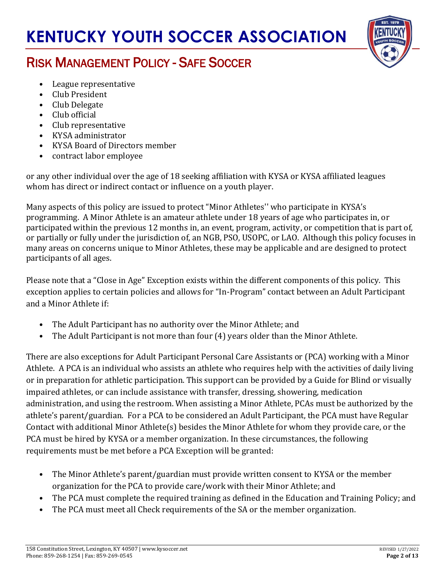

## RISK MANAGEMENT POLICY - SAFE SOCCER

- League representative
- Club President
- Club Delegate
- Club official
- Club representative
- KYSA administrator
- KYSA Board of Directors member
- contract labor employee

or any other individual over the age of 18 seeking affiliation with KYSA or KYSA affiliated leagues whom has direct or indirect contact or influence on a youth player.

Many aspects of this policy are issued to protect "Minor Athletes'' who participate in KYSA's programming. A Minor Athlete is an amateur athlete under 18 years of age who participates in, or participated within the previous 12 months in, an event, program, activity, or competition that is part of, or partially or fully under the jurisdiction of, an NGB, PSO, USOPC, or LAO. Although this policy focuses in many areas on concerns unique to Minor Athletes, these may be applicable and are designed to protect participants of all ages.

Please note that a "Close in Age" Exception exists within the different components of this policy. This exception applies to certain policies and allows for "In-Program" contact between an Adult Participant and a Minor Athlete if:

- The Adult Participant has no authority over the Minor Athlete; and
- The Adult Participant is not more than four (4) years older than the Minor Athlete.

There are also exceptions for Adult Participant Personal Care Assistants or (PCA) working with a Minor Athlete. A PCA is an individual who assists an athlete who requires help with the activities of daily living or in preparation for athletic participation. This support can be provided by a Guide for Blind or visually impaired athletes, or can include assistance with transfer, dressing, showering, medication administration, and using the restroom. When assisting a Minor Athlete, PCAs must be authorized by the athlete's parent/guardian. For a PCA to be considered an Adult Participant, the PCA must have Regular Contact with additional Minor Athlete(s) besides the Minor Athlete for whom they provide care, or the PCA must be hired by KYSA or a member organization. In these circumstances, the following requirements must be met before a PCA Exception will be granted:

- The Minor Athlete's parent/guardian must provide written consent to KYSA or the member organization for the PCA to provide care/work with their Minor Athlete; and
- The PCA must complete the required training as defined in the Education and Training Policy; and
- The PCA must meet all Check requirements of the SA or the member organization.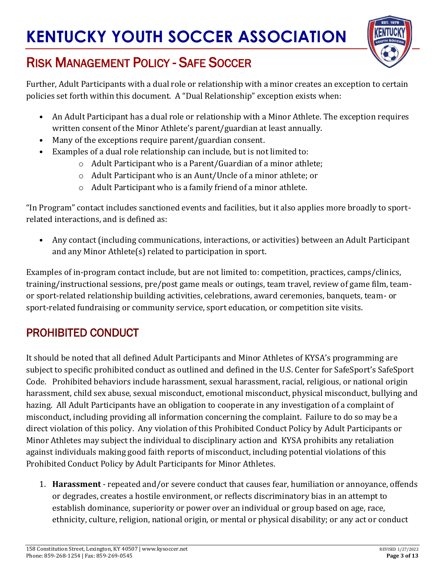

## RISK MANAGEMENT POLICY - SAFE SOCCER

Further, Adult Participants with a dual role or relationship with a minor creates an exception to certain policies set forth within this document. A "Dual Relationship" exception exists when:

- An Adult Participant has a dual role or relationship with a Minor Athlete. The exception requires written consent of the Minor Athlete's parent/guardian at least annually.
- Many of the exceptions require parent/guardian consent.
- Examples of a dual role relationship can include, but is not limited to:
	- o Adult Participant who is a Parent/Guardian of a minor athlete;
	- o Adult Participant who is an Aunt/Uncle of a minor athlete; or
	- o Adult Participant who is a family friend of a minor athlete.

"In Program" contact includes sanctioned events and facilities, but it also applies more broadly to sportrelated interactions, and is defined as:

• Any contact (including communications, interactions, or activities) between an Adult Participant and any Minor Athlete(s) related to participation in sport.

Examples of in-program contact include, but are not limited to: competition, practices, camps/clinics, training/instructional sessions, pre/post game meals or outings, team travel, review of game film, teamor sport-related relationship building activities, celebrations, award ceremonies, banquets, team- or sport-related fundraising or community service, sport education, or competition site visits.

## PROHIBITED CONDUCT

It should be noted that all defined Adult Participants and Minor Athletes of KYSA's programming are subject to specific prohibited conduct as outlined and defined in the U.S. Center for SafeSport'[s](https://uscenterforsafesport.org/wp-content/uploads/2020/03/2020-SafeSport-Code-04.01.20.pdf) [SafeSport](https://uscenterforsafesport.org/wp-content/uploads/2020/03/2020-SafeSport-Code-04.01.20.pdf)  [Code.](https://uscenterforsafesport.org/wp-content/uploads/2020/03/2020-SafeSport-Code-04.01.20.pdf) Prohibited behaviors include harassment, sexual harassment, racial, religious, or national origin harassment, child sex abuse, sexual misconduct, emotional misconduct, physical misconduct, bullying and hazing. All Adult Participants have an obligation to cooperate in any investigation of a complaint of misconduct, including providing all information concerning the complaint. Failure to do so may be a direct violation of this policy. Any violation of this Prohibited Conduct Policy by Adult Participants or Minor Athletes may subject the individual to disciplinary action and KYSA prohibits any retaliation against individuals making good faith reports of misconduct, including potential violations of this Prohibited Conduct Policy by Adult Participants for Minor Athletes.

1. **Harassment** - repeated and/or severe conduct that causes fear, humiliation or annoyance, offends or degrades, creates a hostile environment, or reflects discriminatory bias in an attempt to establish dominance, superiority or power over an individual or group based on age, race, ethnicity, culture, religion, national origin, or mental or physical disability; or any act or conduct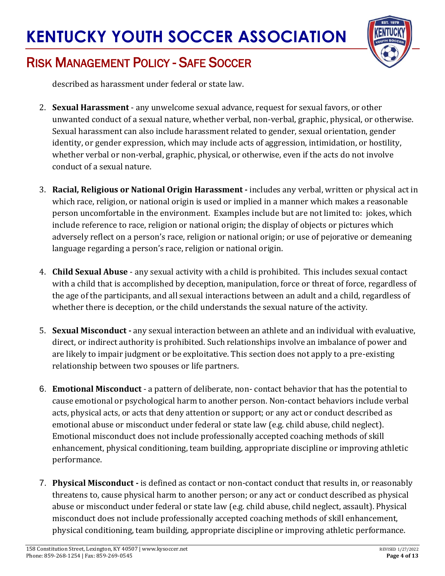

## RISK MANAGEMENT POLICY - SAFE SOCCER

described as harassment under federal or state law.

- 2. **Sexual Harassment** any unwelcome sexual advance, request for sexual favors, or other unwanted conduct of a sexual nature, whether verbal, non-verbal, graphic, physical, or otherwise. Sexual harassment can also include harassment related to gender, sexual orientation, gender identity, or gender expression, which may include acts of aggression, intimidation, or hostility, whether verbal or non-verbal, graphic, physical, or otherwise, even if the acts do not involve conduct of a sexual nature.
- 3. **Racial, Religious or National Origin Harassment -** includes any verbal, written or physical act in which race, religion, or national origin is used or implied in a manner which makes a reasonable person uncomfortable in the environment. Examples include but are not limited to: jokes, which include reference to race, religion or national origin; the display of objects or pictures which adversely reflect on a person's race, religion or national origin; or use of pejorative or demeaning language regarding a person's race, religion or national origin.
- 4. **Child Sexual Abuse** any sexual activity with a child is prohibited. This includes sexual contact with a child that is accomplished by deception, manipulation, force or threat of force, regardless of the age of the participants, and all sexual interactions between an adult and a child, regardless of whether there is deception, or the child understands the sexual nature of the activity.
- 5. **Sexual Misconduct -** any sexual interaction between an athlete and an individual with evaluative, direct, or indirect authority is prohibited. Such relationships involve an imbalance of power and are likely to impair judgment or be exploitative. This section does not apply to a pre-existing relationship between two spouses or life partners.
- 6. **Emotional Misconduct** a pattern of deliberate, non- contact behavior that has the potential to cause emotional or psychological harm to another person. Non-contact behaviors include verbal acts, physical acts, or acts that deny attention or support; or any act or conduct described as emotional abuse or misconduct under federal or state law (e.g. child abuse, child neglect). Emotional misconduct does not include professionally accepted coaching methods of skill enhancement, physical conditioning, team building, appropriate discipline or improving athletic performance.
- 7. **Physical Misconduct -** is defined as contact or non-contact conduct that results in, or reasonably threatens to, cause physical harm to another person; or any act or conduct described as physical abuse or misconduct under federal or state law (e.g. child abuse, child neglect, assault). Physical misconduct does not include professionally accepted coaching methods of skill enhancement, physical conditioning, team building, appropriate discipline or improving athletic performance.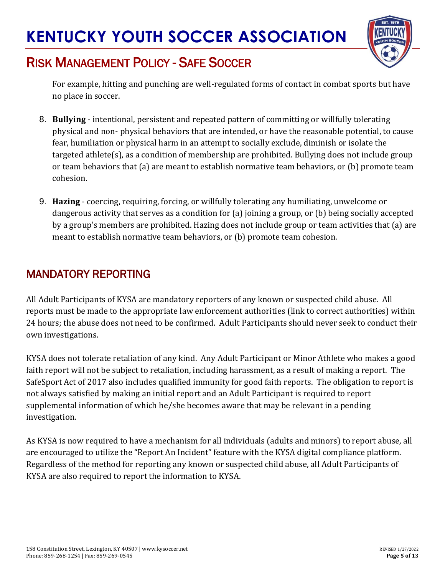

## RISK MANAGEMENT POLICY - SAFE SOCCER

For example, hitting and punching are well-regulated forms of contact in combat sports but have no place in soccer.

- 8. **Bullying**  intentional, persistent and repeated pattern of committing or willfully tolerating physical and non- physical behaviors that are intended, or have the reasonable potential, to cause fear, humiliation or physical harm in an attempt to socially exclude, diminish or isolate the targeted athlete(s), as a condition of membership are prohibited. Bullying does not include group or team behaviors that (a) are meant to establish normative team behaviors, or (b) promote team cohesion.
- 9. **Hazing**  coercing, requiring, forcing, or willfully tolerating any humiliating, unwelcome or dangerous activity that serves as a condition for (a) joining a group, or (b) being socially accepted by a group's members are prohibited. Hazing does not include group or team activities that (a) are meant to establish normative team behaviors, or (b) promote team cohesion.

### MANDATORY REPORTING

All Adult Participants of KYSA are mandatory reporters of any known or suspected child abuse. All reports must be made to the appropriat[e](http://childwelfare.gov/topics/responding/reporting/how/) [law enforcement authorities](http://childwelfare.gov/topics/responding/reporting/how/) (link to correct authorities) within 24 hours; the abuse does not need to be confirmed. Adult Participants should never seek to conduct their own investigations.

KYSA does not tolerate retaliation of any kind. Any Adult Participant or Minor Athlete who makes a good faith report will not be subject to retaliation, including harassment, as a result of making a report. The SafeSport Act of 2017 also includes qualified immunity for good faith reports. The obligation to report is not always satisfied by making an initial report and an Adult Participant is required to report supplemental information of which he/she becomes aware that may be relevant in a pending investigation.

As KYSA is now required to have a mechanism for all individuals (adults and minors) to report abuse, all are encouraged to utilize the "Report An Incident" feature with the KYSA digital compliance platform. Regardless of the method for reporting any known or suspected child abuse, all Adult Participants of KYSA are also required to report the information to KYSA.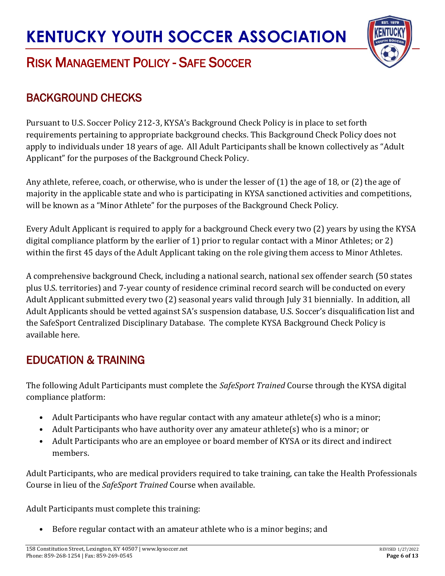

## RISK MANAGEMENT POLICY - SAFE SOCCER

### BACKGROUND CHECKS

Pursuant to U.S. Soccer Policy 212-3, KYSA's Background Check Policy is in place to set forth requirements pertaining to appropriate background checks. This Background Check Policy does not apply to individuals under 18 years of age. All Adult Participants shall be known collectively as "Adult Applicant" for the purposes of the Background Check Policy.

Any athlete, referee, coach, or otherwise, who is under the lesser of (1) the age of 18, or (2) the age of majority in the applicable state and who is participating in KYSA sanctioned activities and competitions, will be known as a "Minor Athlete" for the purposes of the Background Check Policy.

Every Adult Applicant is required to apply for a background Check every two (2) years by using the KYSA digital compliance platform by the earlier of 1) prior to regular contact with a Minor Athletes; or 2) within the first 45 days of the Adult Applicant taking on the role giving them access to Minor Athletes.

A comprehensive background Check, including a national search, national sex offender search (50 states plus U.S. territories) and 7-year county of residence criminal record search will be conducted on every Adult Applicant submitted every two (2) seasonal years valid through July 31 biennially. In addition, all Adult Applicants should be vetted against SA's suspension database, U.S. Soccer's disqualification list and th[e](https://uscenterforsafesport.org/response-and-resolution/disciplinary-database/) [SafeSport Centralized Disciplinary Database.](https://uscenterforsafesport.org/response-and-resolution/disciplinary-database/) The complete KYSA Background Check Policy is available here.

### EDUCATION & TRAINING

The following Adult Participants must complete the *SafeSport Trained* Course through the KYSA digital compliance platform:

- Adult Participants who have regular contact with any amateur athlete(s) who is a minor;
- Adult Participants who have authority over any amateur athlete(s) who is a minor; or
- Adult Participants who are an employee or board member of KYSA or its direct and indirect members.

Adult Participants, who are medical providers required to take training, can take the Health Professionals Course in lieu of the *SafeSport Trained* Course when available.

Adult Participants must complete this training:

• Before regular contact with an amateur athlete who is a minor begins; and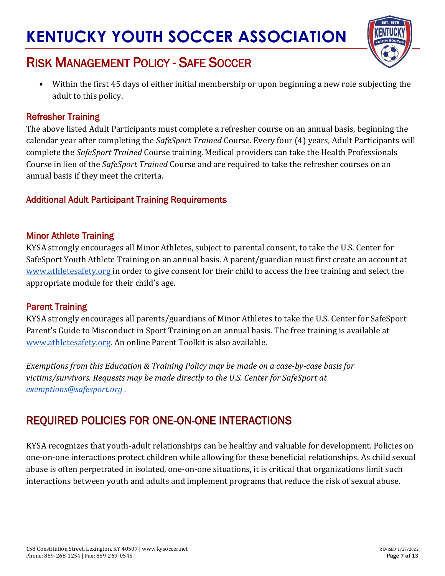

## RISK MANAGEMENT POLICY - SAFE SOCCER

• Within the first 45 days of either initial membership or upon beginning a new role subjecting the adult to this policy.

#### Refresher Training

The above listed Adult Participants must complete a refresher course on an annual basis, beginning the calendar year after completing the *SafeSport Trained* Course. Every four (4) years, Adult Participants will complete the *SafeSport Trained* Course training. Medical providers can take the Health Professionals Course in lieu of the *SafeSport Trained* Course and are required to take the refresher courses on an annual basis if they meet the criteria.

#### Additional Adult Participant Training Requirements

#### Minor Athlete Training

KYSA strongly encourages all Minor Athletes, subject to parental consent, to take the U.S. Center for SafeSport Youth Athlete Training on an annual basis. A parent/guardian must first create an account a[t](http://www.athletesafety.org/) [www.athletesafety.org](http://www.athletesafety.org/) in order to give consent for their child to access the free training and select the appropriate module for their child's age.

#### Parent Training

KYSA strongly encourages all parents/guardians of Minor Athletes to take the U.S. Center for SafeSport Parent's Guide to Misconduct in Sport Training on an annual basis. The free training is available a[t](http://www.athletesafety.org/) [www.athletesafety.org.](http://www.athletesafety.org/) An online Parent Toolkit is also available.

*Exemptions from this Education & Training Policy may be made on a case-by-case basis for victims/survivors. Requests may be made directly to the U.S. Center for SafeSport at [exemptions@safesport.org](mailto:exemptions@safesport.org) .*

### REQUIRED POLICIES FOR ONE-ON-ONE INTERACTIONS

KYSA recognizes that youth-adult relationships can be healthy and valuable for development. Policies on one-on-one interactions protect children while allowing for these beneficial relationships. As child sexual abuse is often perpetrated in isolated, one-on-one situations, it is critical that organizations limit such interactions between youth and adults and implement programs that reduce the risk of sexual abuse.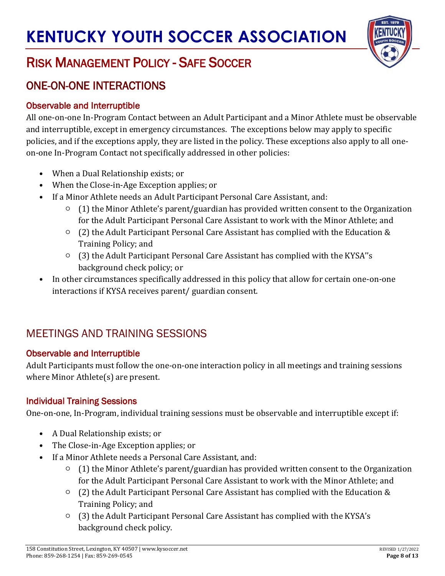

## RISK MANAGEMENT POLICY - SAFE SOCCER

### ONE-ON-ONE INTERACTIONS

#### Observable and Interruptible

All one-on-one In-Program Contact between an Adult Participant and a Minor Athlete must be observable and interruptible, except in emergency circumstances. The exceptions below may apply to specific policies, and if the exceptions apply, they are listed in the policy. These exceptions also apply to all oneon-one In-Program Contact not specifically addressed in other policies:

- When a Dual Relationship exists; or
- When the Close-in-Age Exception applies; or
- If a Minor Athlete needs an Adult Participant Personal Care Assistant, and:
	- (1) the Minor Athlete's parent/guardian has provided written consent to the Organization for the Adult Participant Personal Care Assistant to work with the Minor Athlete; and
	- (2) the Adult Participant Personal Care Assistant has complied with the Education & Training Policy; and
	- (3) the Adult Participant Personal Care Assistant has complied with the KYSA''s background check policy; or
- In other circumstances specifically addressed in this policy that allow for certain one-on-one interactions if KYSA receives parent/ guardian consent.

### MEETINGS AND TRAINING SESSIONS

#### Observable and Interruptible

Adult Participants must follow the one-on-one interaction policy in all meetings and training sessions where Minor Athlete(s) are present.

#### Individual Training Sessions

One-on-one, In-Program, individual training sessions must be observable and interruptible except if:

- A Dual Relationship exists; or
- The Close-in-Age Exception applies; or
- If a Minor Athlete needs a Personal Care Assistant, and:
	- (1) the Minor Athlete's parent/guardian has provided written consent to the Organization for the Adult Participant Personal Care Assistant to work with the Minor Athlete; and
	- (2) the Adult Participant Personal Care Assistant has complied with the Education & Training Policy; and
	- (3) the Adult Participant Personal Care Assistant has complied with the KYSA's background check policy.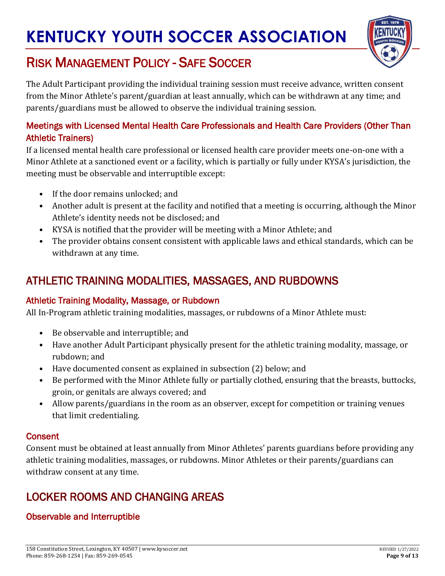

## RISK MANAGEMENT POLICY - SAFE SOCCER

The Adult Participant providing the individual training session must receive advance, written consent from the Minor Athlete's parent/guardian at least annually, which can be withdrawn at any time; and parents/guardians must be allowed to observe the individual training session.

#### Meetings with Licensed Mental Health Care Professionals and Health Care Providers (Other Than Athletic Trainers)

If a licensed mental health care professional or licensed health care provider meets one-on-one with a Minor Athlete at a sanctioned event or a facility, which is partially or fully under KYSA's jurisdiction, the meeting must be observable and interruptible except:

- If the door remains unlocked; and
- Another adult is present at the facility and notified that a meeting is occurring, although the Minor Athlete's identity needs not be disclosed; and
- KYSA is notified that the provider will be meeting with a Minor Athlete; and
- The provider obtains consent consistent with applicable laws and ethical standards, which can be withdrawn at any time.

### ATHLETIC TRAINING MODALITIES, MASSAGES, AND RUBDOWNS

#### Athletic Training Modality, Massage, or Rubdown

All In-Program athletic training modalities, massages, or rubdowns of a Minor Athlete must:

- Be observable and interruptible; and
- Have another Adult Participant physically present for the athletic training modality, massage, or rubdown; and
- Have documented consent as explained in subsection (2) below; and
- Be performed with the Minor Athlete fully or partially clothed, ensuring that the breasts, buttocks, groin, or genitals are always covered; and
- Allow parents/guardians in the room as an observer, except for competition or training venues that limit credentialing.

#### **Consent**

Consent must be obtained at least annually from Minor Athletes' parents guardians before providing any athletic training modalities, massages, or rubdowns. Minor Athletes or their parents/guardians can withdraw consent at any time.

### LOCKER ROOMS AND CHANGING AREAS

#### Observable and Interruptible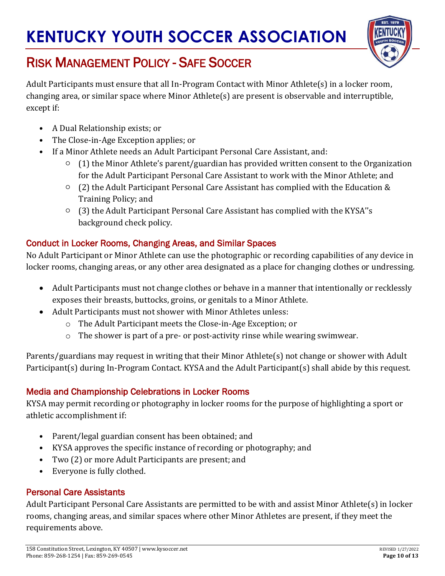

# RISK MANAGEMENT POLICY - SAFE SOCCER

Adult Participants must ensure that all In-Program Contact with Minor Athlete(s) in a locker room, changing area, or similar space where Minor Athlete(s) are present is observable and interruptible, except if:

- A Dual Relationship exists; or
- The Close-in-Age Exception applies; or
- If a Minor Athlete needs an Adult Participant Personal Care Assistant, and:
	- (1) the Minor Athlete's parent/guardian has provided written consent to the Organization for the Adult Participant Personal Care Assistant to work with the Minor Athlete; and
	- $\circ$  (2) the Adult Participant Personal Care Assistant has complied with the Education & Training Policy; and
	- $\circ$  (3) the Adult Participant Personal Care Assistant has complied with the KYSA''s background check policy.

#### Conduct in Locker Rooms, Changing Areas, and Similar Spaces

No Adult Participant or Minor Athlete can use the photographic or recording capabilities of any device in locker rooms, changing areas, or any other area designated as a place for changing clothes or undressing.

- Adult Participants must not change clothes or behave in a manner that intentionally or recklessly exposes their breasts, buttocks, groins, or genitals to a Minor Athlete.
- Adult Participants must not shower with Minor Athletes unless:
	- o The Adult Participant meets the Close-in-Age Exception; or
	- o The shower is part of a pre- or post-activity rinse while wearing swimwear.

Parents/guardians may request in writing that their Minor Athlete(s) not change or shower with Adult Participant(s) during In-Program Contact. KYSA and the Adult Participant(s) shall abide by this request.

#### Media and Championship Celebrations in Locker Rooms

KYSA may permit recording or photography in locker rooms for the purpose of highlighting a sport or athletic accomplishment if:

- Parent/legal guardian consent has been obtained; and
- KYSA approves the specific instance of recording or photography; and
- Two (2) or more Adult Participants are present; and
- Everyone is fully clothed.

#### Personal Care Assistants

Adult Participant Personal Care Assistants are permitted to be with and assist Minor Athlete(s) in locker rooms, changing areas, and similar spaces where other Minor Athletes are present, if they meet the requirements above.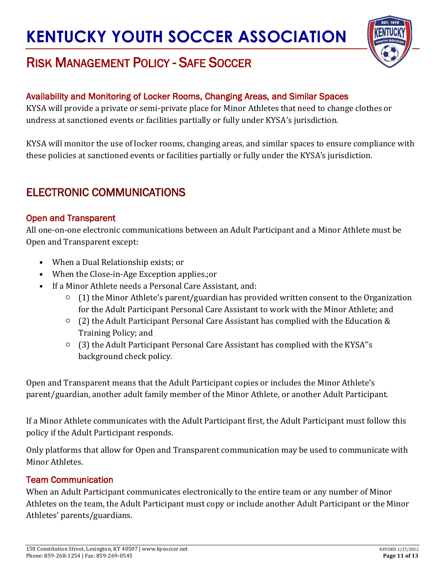

## RISK MANAGEMENT POLICY - SAFE SOCCER

#### Availability and Monitoring of Locker Rooms, Changing Areas, and Similar Spaces

KYSA will provide a private or semi-private place for Minor Athletes that need to change clothes or undress at sanctioned events or facilities partially or fully under KYSA's jurisdiction.

KYSA will monitor the use of locker rooms, changing areas, and similar spaces to ensure compliance with these policies at sanctioned events or facilities partially or fully under the KYSA's jurisdiction.

### ELECTRONIC COMMUNICATIONS

#### Open and Transparent

All one-on-one electronic communications between an Adult Participant and a Minor Athlete must be Open and Transparent except:

- When a Dual Relationship exists; or
- When the Close-in-Age Exception applies.;or
- If a Minor Athlete needs a Personal Care Assistant, and:
	- $\circ$  (1) the Minor Athlete's parent/guardian has provided written consent to the Organization for the Adult Participant Personal Care Assistant to work with the Minor Athlete; and
	- (2) the Adult Participant Personal Care Assistant has complied with the Education & Training Policy; and
	- (3) the Adult Participant Personal Care Assistant has complied with the KYSA''s background check policy.

Open and Transparent means that the Adult Participant copies or includes the Minor Athlete's parent/guardian, another adult family member of the Minor Athlete, or another Adult Participant.

If a Minor Athlete communicates with the Adult Participant first, the Adult Participant must follow this policy if the Adult Participant responds.

Only platforms that allow for Open and Transparent communication may be used to communicate with Minor Athletes.

#### Team Communication

When an Adult Participant communicates electronically to the entire team or any number of Minor Athletes on the team, the Adult Participant must copy or include another Adult Participant or the Minor Athletes' parents/guardians.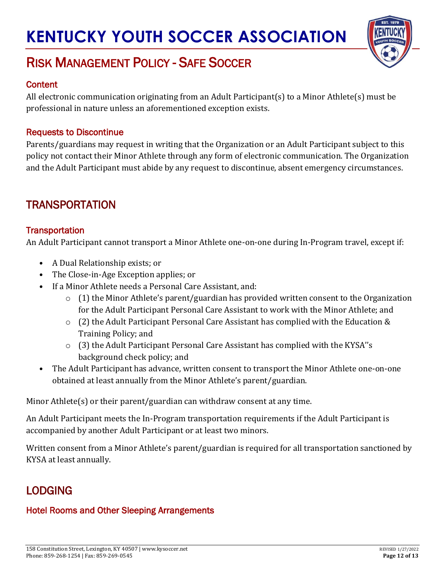

## RISK MANAGEMENT POLICY - SAFE SOCCER

#### **Content**

All electronic communication originating from an Adult Participant(s) to a Minor Athlete(s) must be professional in nature unless an aforementioned exception exists.

#### Requests to Discontinue

Parents/guardians may request in writing that the Organization or an Adult Participant subject to this policy not contact their Minor Athlete through any form of electronic communication. The Organization and the Adult Participant must abide by any request to discontinue, absent emergency circumstances.

### TRANSPORTATION

#### **Transportation**

An Adult Participant cannot transport a Minor Athlete one-on-one during In-Program travel, except if:

- A Dual Relationship exists; or
- The Close-in-Age Exception applies; or
- If a Minor Athlete needs a Personal Care Assistant, and:
	- $\circ$  (1) the Minor Athlete's parent/guardian has provided written consent to the Organization for the Adult Participant Personal Care Assistant to work with the Minor Athlete; and
	- o (2) the Adult Participant Personal Care Assistant has complied with the Education & Training Policy; and
	- $\circ$  (3) the Adult Participant Personal Care Assistant has complied with the KYSA''s background check policy; and
- The Adult Participant has advance, written consent to transport the Minor Athlete one-on-one obtained at least annually from the Minor Athlete's parent/guardian.

Minor Athlete(s) or their parent/guardian can withdraw consent at any time.

An Adult Participant meets the In-Program transportation requirements if the Adult Participant is accompanied by another Adult Participant or at least two minors.

Written consent from a Minor Athlete's parent/guardian is required for all transportation sanctioned by KYSA at least annually.

### LODGING

#### Hotel Rooms and Other Sleeping Arrangements